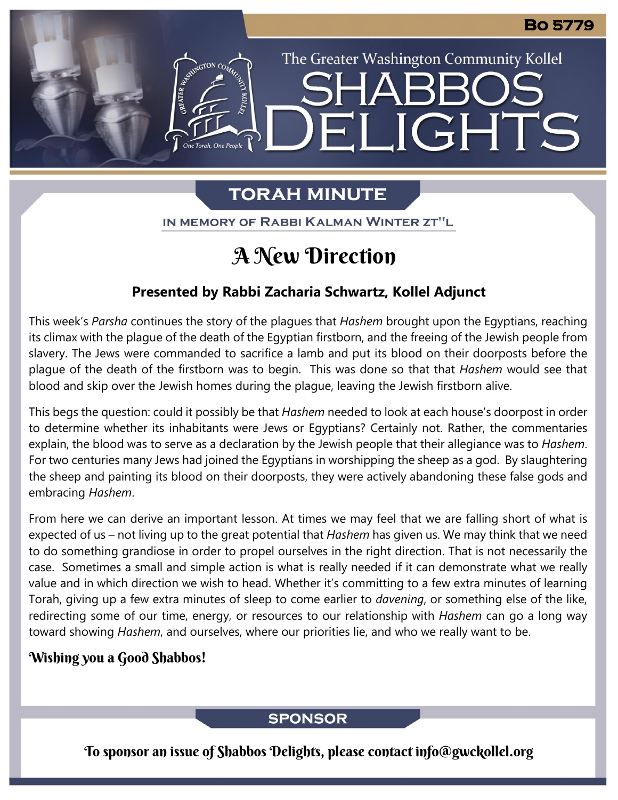# **TORAH MINUTE**

The Greater Washington Community Kollel

ELIGHTS

IN MEMORY OF RABBI KALMAN WINTER ZT"L

# A New Direction

## **Presented by Rabbi Zacharia Schwartz, Kollel Adjunct**

This week's *Parsha* continues the story of the plagues that *Hashem* brought upon the Egyptians, reaching its climax with the plague of the death of the Egyptian firstborn, and the freeing of the Jewish people from slavery. The Jews were commanded to sacrifice a lamb and put its blood on their doorposts before the plague of the death of the firstborn was to begin. This was done so that that *Hashem* would see that blood and skip over the Jewish homes during the plague, leaving the Jewish firstborn alive.

This begs the question: could it possibly be that *Hashem* needed to look at each house's doorpost in order to determine whether its inhabitants were Jews or Egyptians? Certainly not. Rather, the commentaries explain, the blood was to serve as a declaration by the Jewish people that their allegiance was to *Hashem*. For two centuries many Jews had joined the Egyptians in worshipping the sheep as a god. By slaughtering the sheep and painting its blood on their doorposts, they were actively abandoning these false gods and embracing *Hashem*.

From here we can derive an important lesson. At times we may feel that we are falling short of what is expected of us – not living up to the great potential that *Hashem* has given us. We may think that we need to do something grandiose in order to propel ourselves in the right direction. That is not necessarily the case. Sometimes a small and simple action is what is really needed if it can demonstrate what we really value and in which direction we wish to head. Whether it's committing to a few extra minutes of learning Torah, giving up a few extra minutes of sleep to come earlier to *davening*, or something else of the like, redirecting some of our time, energy, or resources to our relationship with *Hashem* can go a long way toward showing *Hashem*, and ourselves, where our priorities lie, and who we really want to be.

### Wishing you a Good Shabbos!

## **SPONSOR**

To sponsor an issue of Shabbos Delights, please contact info@gwckollel.org